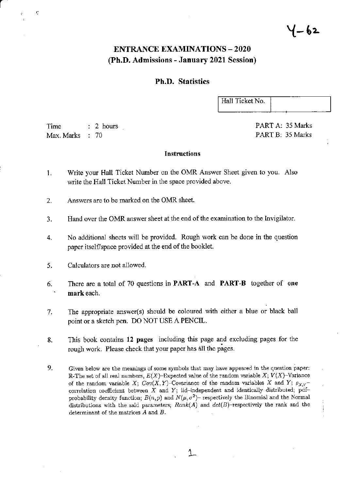## **ENTRANCE EXAMINATIONS - 2020** (Ph.D. Admissions - January 2021 Session)

## **Ph.D.** Statistics

Hall Ticket No.

Time  $: 2 hours$ Max. Marks  $\therefore 70$ 

PART A: 35 Marks PART B: 35 Marks

#### **Instructions**

- Write your Hall Ticket Number on the OMR Answer Sheet given to you. Also 1. write the Hall Ticket Number in the space provided above.
- Answers are to be marked on the OMR sheet.  $2.$
- Hand over the OMR answer sheet at the end of the examination to the Invigilator.  $3.$
- No additional sheets will be provided. Rough work can be done in the question  $\overline{4}$ . paper itself/space provided at the end of the booklet.
- Calculators are not allowed. 5.
- There are a total of 70 questions in **PART-A** and **PART-B** together of one 6. mark each.
- The appropriate answer(s) should be coloured with either a blue or black ball 7. point or a sketch pen. DO NOT USE A PENCIL.
- This book contains 12 pages including this page and excluding pages for the 8. rough work. Please check that your paper has all the pages.
- 9. Given below are the meanings of some symbols that may have appeared in the question paper: R-The set of all real numbers,  $E(X)$ -Expected value of the random variable X;  $V(X)$ -Variance of the random variable X;  $Cov(X, Y)$ -Covariance of the random variables X and Y;  $\rho_{X,Y}$ correlation coefficient between  $X$  and  $Y$ ; iid-independent and identically distributed; pdfprobability density function;  $B(n, p)$  and  $N(\mu, \sigma^2)$ - respectively the Binomial and the Normal distributions with the said parameters;  $Rank(A)$  and  $det(B)$ -respectively the rank and the determinant of the matrices  $A$  and  $B$ .

# 4-62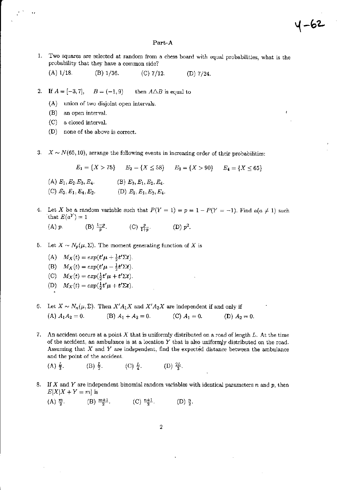#### Part-A

4-62

- 1. Two squares are selected at random from a chess board with equal probabilities, what is the probability that they have a common side?
	- $(A)$  1/18.  $(B)$  1/36.  $(C)$  7/12.  $(D)$  7/24.
- $B = (-1, 9)$ 2. If  $A = [-3, 7]$ , then  $A \triangle B$  is equal to
	- (A) union of two disjoint open intervals.
	- (B) an open interval.
	- (C) a closed interval.
	- $(D)$  none of the above is correct.
- $X \sim N(65, 10)$ , arrange the following events in increasing order of their probabilities: 3.

$$
E_1 = \{X > 75\} \qquad E_2 = \{X \le 58\} \qquad E_3 = \{X > 90\} \qquad E_4 = \{X < 65\}
$$

- (A)  $E_1, E_2, E_3, E_4$ . (B)  $E_3, E_1, E_2, E_4$ . (C)  $E_3, E_1, E_4, E_2$ . (D)  $E_2, E_1, E_3, E_4$ .
- 4. Let X be a random variable such that  $P(Y = 1) = p = 1 P(Y = -1)$ . Find  $a(a \neq 1)$  such that  $E(a^Y) = 1$ (B)  $\frac{1-p}{p}$ . (C)  $\frac{p}{1+p}$ . (D)  $p^2$ .  $(A)$   $p$ .
- 5. Let  $X \sim N_p(\mu, \Sigma)$ . The moment generating function of X is
	- (A)  $M_X(t) = exp(t'\mu + \frac{1}{2}t'\Sigma t).$ 
		- (B)  $M_X(t) = exp(t'\mu \frac{1}{2}t'\Sigma t).$
		- (C)  $M_X(t) = exp(\frac{1}{2}t'\mu + t'\Sigma t).$
		-
		- (D)  $M_X(t) = exp(\frac{1}{2}t'\mu + t'\Sigma t).$
- 6. Let  $X \sim N_n(\mu, \Sigma)$ . Then  $X'A_1X$  and  $X'A_2X$  are independent if and only if (A)  $A_1A_2=0.$ (B)  $A_1 + A_2 = 0$ . (C)  $A_1 = 0$ . (D)  $A_2 = 0$ .
- 7. An accident occurs at a point X that is uniformly distributed on a road of length L. At the time of the accident, an ambulance is at a location  $Y$  that is also uniformly distributed on the road. Assuming that  $X$  and  $Y$  are independent, find the expected distance between the ambulance and the point of the accident.
	- (C)  $\frac{L}{4}$ . (D)  $\frac{2L}{3}$ .  $(A) \frac{L}{2}$ .  $(B) \frac{L}{2}$ .
- 8. If X and Y are independent binomial random variables with identical parameters  $n$  and  $p$ , then  $E[X|X+Y=m]$  is
	- (A)  $\frac{m}{2}$ . (B)  $\frac{m+1}{2}$ . (C)  $\frac{n+1}{2}$ .  $(D) \frac{n}{2}$ .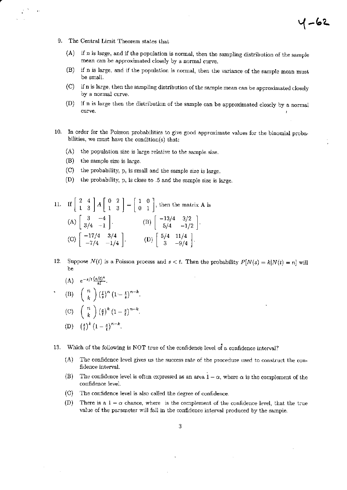The Central Limit Theorem states that 9.

 $\bar{P}$ 

 $(A)$ if n is large, and if the population is normal, then the sampling distribution of the sample mean can be approximated closely by a normal curve.

4-62

- if n is large, and if the population is normal, then the variance of the sample mean must  $(B)$ be small.
- if n is large, then the sampling distribution of the sample mean can be approximated closely  $\rm (C)$ by a normal curve.
- $(D)$ if n is large then the distribution of the sample can be approximated closely by a normal curve.
- 10. In order for the Poisson probabilities to give good approximate values for the binomial probabilities, we must have the condition(s) that:
	- $(A)$  the population size is large relative to the sample size.
	- $(B)$ the sample size is large.
	- $(C)$ the probability, p, is small and the sample size is large.
	- $(D)$ the probability, p, is close to .5 and the sample size is large.

11. If 
$$
\begin{bmatrix} 2 & 4 \\ 1 & 3 \end{bmatrix} A \begin{bmatrix} 0 & 2 \\ 1 & 3 \end{bmatrix} = \begin{bmatrix} 1 & 0 \\ 0 & 1 \end{bmatrix}
$$
, then the matrix A is  
\n(A)  $\begin{bmatrix} 3 & -4 \\ 3/4 & -1 \end{bmatrix}$ .  
\n(B)  $\begin{bmatrix} -13/4 & 3/2 \\ 5/4 & -1/2 \end{bmatrix}$ .  
\n(C)  $\begin{bmatrix} -17/4 & 3/4 \\ -7/4 & -1/4 \end{bmatrix}$ .  
\n(D)  $\begin{bmatrix} 5/4 & 11/4 \\ 3 & -9/4 \end{bmatrix}$ .

12. Suppose  $N(t)$  is a Poisson process and  $s < t$ . Then the probability  $P[N(s) = k | N(t) = n]$  will be

(A) 
$$
e^{-s/t} \frac{(s/t)^k}{k!}
$$
.  
\n(B)  $\binom{n}{k} \left(\frac{t}{s}\right)^n \left(1 - \frac{t}{s}\right)^{n-k}$   
\n(C)  $\binom{n}{k} \left(\frac{s}{t}\right)^k \left(1 - \frac{s}{t}\right)^{n-k}$   
\n(D)  $\left(\frac{s}{t}\right)^k \left(1 - \frac{s}{t}\right)^{n-k}$ .

13. Which of the following is NOT true of the confidence level of a confidence interval?

- $(A)$ The confidence level gives us the success rate of the procedure used to construct the confidence interval.
- The confidence level is often expressed as an area  $1 \alpha$ , where  $\alpha$  is the complement of the  $(B)$ confidence level.
- $(C)$ The confidence level is also called the degree of confidence.
- $(D)$ There is a  $1 - \alpha$  chance, where is the complement of the confidence level, that the true value of the parameter will fall in the confidence interval produced by the sample.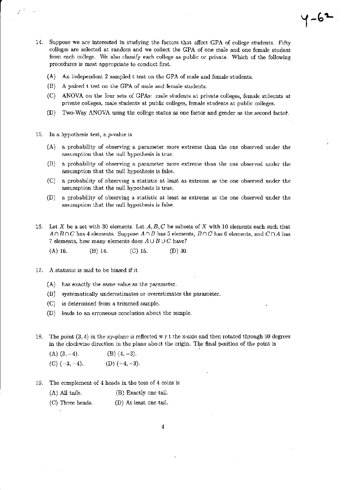14. Suppose we are interested in studying the factors that affect GPA of college students. Fifty colleges are selected at random and we collect the GPA of one male and one female student from each college. We also classify each college as public or private. Which of the following procedures is most appropriate to conduct first.

 $4 - 6 -$ 

- An independent 2 sampled t test on the GPA of male and female students.  $(A)$
- $(B)$ A paired t test on the GPA of male and female students.
- (C) ANOVA on the four sets of GPAs: male students at private colleges, female stdeunts at private colleges, male students at public colleges, female students at public colleges.
- $(D)$ Two-Way ANOVA using the college status as one factor and gender as the second factor.
- 15. In a hypothesis test, a  $p$ -value is
	- $(A)$ a probability of observing a parameter more extreme than the one observed under the assumption that the null hypothesis is true.
	- $(B)$ a probability of observing a parameter more extreme than the one observed under the assumption that the null hypothesis is false.
	- a probability of observing a statistic at least as extreme as the one observed under the  $(C)$ assumption that the null hypothesis is true.
	- a probability of observing a statistic at least as extreme as the one observed under the  $(D)$ assumption that the null hypothesis is false.
- 16. Let X be a set with 30 elements. Let  $A, B, C$  be subsets of X with 10 elements each such that  $A \cap B \cap C$  has 4 elements. Suppose  $A \cap B$  has 5 elements,  $B \cap C$  has 6 elements, and  $C \cap A$  has 7 elements, how many elements does  $A \cup B \cup C$  have?
	- $(D)$  30.  $(A)$  16.  $(B)$  14.  $(C)$  15.
- 17. A statistic is said to be biased if it
	- $(A)$  has exactly the same value as the parameter.
	- (B) systematically underestimates or overestimates the parameter.
	- (C) is determined from a trimmed sample.
	- (D) leads to an erroneous conclusion about the sample.
- 18. The point  $(3,4)$  in the xy-plane is reflected w.r.t the x-axis and then rotated through 90 degrees in the clockwise direction in the plane about the origin. The final position of the point is

- $(C)$   $(-3, -4)$ . (D)  $(-4, -3)$ .
- 19. The complement of 4 heads in the toss of 4 coins is
	- (B) Exactly one tail. (A) All tails.
	- (C) Three heads. (D) At least one tail.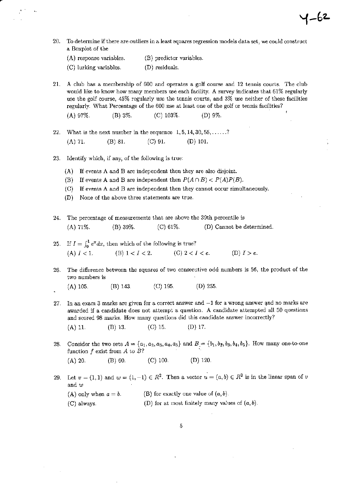20. To determine if there are outliers in a least squares regression models data set, we could construct a Boxplot of the

 $4 - 62$ 

(B) predictor variables. (A) response variables.

(C) lurking variables. (D) residuals.

21. A club has a membership of 600 and operates a golf course and 12 tennis courts. The club would like to know how many members use each facility. A survey indicates that 61% regularly use the golf course, 45% regularly use the tennis courts, and 3% use neither of these facilities regularly. What Percentage of the 600 use at least one of the golf or tennis facilities?

(C) 103%.  $(D) 9\%$ .  $(A) 97\%.$  $(B) 3\%.$ 

What is the next number in the sequence  $1, 5, 14, 30, 55, \ldots$ ? 22. (B) 81.  $(C)$  91.  $(D)$  101.  $(A) 71.$ 

#### 23. Identify which, if any, of the following is true:

- (A) If events A and B are independent then they are also disjoint.
- (B) If events A and B are independent then  $P(A \cap B) < P(A)P(B)$ .
- (C) If events A and B are independent then they cannot occur simultaneously.
- None of the above three statements are true.  $(D)$
- The percentage of measurements that are above the 39th percentile is 24.  $(A)$  71%. (B) 39%.  $(C)$  61\%. (D) Cannot be determined.
- 25. If  $I = \int_0^1 e^x dx$ , then which of the following is true?<br>
(A)  $I < 1$ . (B)  $1 < I < 2$ . (C)  $2 < I < e$ . (D)  $I > e$ .
- The difference between the squares of two consecutive odd numbers is 56, the product of the 26. two numbers is
	- $(A)$  105.  $(B)$  143.  $(C)$  195.  $(D)$  255.
- 27. In an exam 3 marks are given for a correct answer and  $-1$  for a wrong answer and no marks are awarded if a candidate does not attempt a question. A candidate attempted all 50 questions and scored 98 marks. How many questions did this candidate answer incorrectly?

 $(A)$  11.  $(B)$  13.  $(C)$  15.  $(D)$  17.

28. Consider the two sets  $A = \{a_1, a_2, a_3, a_4, a_5\}$  and  $B = \{b_1, b_2, b_3, b_4, b_5\}$ . How many one-to-one function  $f$  exist from  $A$  to  $B$ ?  $(D)$  120.  $(A)$  20.  $(B) 60.$  $(C)$  100.

29. Let  $v = (1,1)$  and  $w = (1,-1) \in R^2$ . Then a vector  $u = (a,b) \in R^2$  is in the linear span of v and  $w$ (B) for exactly one value of  $(a, b)$ . (A) only when  $a = b$ .

(D) for at most finitely many values of  $(a, b)$ . (C) always.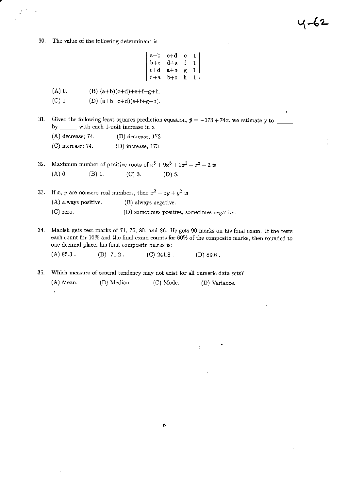30. The value of the following determinant is:

 $\ddot{\cdot}$ 

 $\begin{array}{|c|cccc|} \hline a+b&c+d&e&1\\ b+c&d+a&f&1\\ c+d&a+b&g&1\\ d+a&b+c&h&1\\ \hline \end{array}$ 

1-62

 $\mathbf{I}$ 

- $(A)$  0. (B)  $(a+b)(c+d)+e+f+g+h$ .
- $(C)$  1. (D)  $(a+b+c+d)(e+f+g+h)$ .
- Given the following least squares prediction equation,  $\hat{y} = -173 + 74x$ , we estimate y to 31. by \_\_\_\_\_\_\_ with each 1-unit increase in x
	- $(A)$  decrease; 74.  $(B)$  decrease; 173.  $(C)$  increase; 74.  $(D)$  increase; 173.

 $\ddot{\phantom{0}}$ 

32. Maximum number of positive roots of  $x^6 + 9x^5 + 2x^3 - x^2 - 2$  is  $(A)$  0.  $(B)$  1.  $(C)$  3.  $(D)$  5.

33. If x, y are nonzero real numbers, then  $x^2 + xy + y^2$  is (A) always positive. (B) always negative.  $(C)$  zero. (D) sometimes positive, sometimes negative.

Manish gets test marks of 71, 76, 80, and 86. He gets 90 marks on his final exam. If the tests 34. each count for 10% and the final exam counts for 60% of the composite marks, then rounded to one decimal place, his final composite marks is:

 $(A) 85.3$ .  $(B) -71.2$ .  $(C)$  241.8.  $(D) 80.6$ .

- 35. Which measure of central tendency may not exist for all numeric data sets?
	- $(A)$  Mean. (B) Median. (C) Mode. (D) Variance.

÷.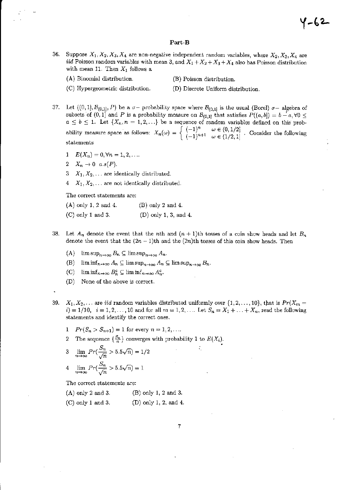#### Part-B

- 36. Suppose  $X_1, X_2, X_3, X_4$  are non-negative independent random variables, where  $X_2, X_3, X_4$  are *iid* Poisson random variables with mean 3, and  $X_1 + X_2 + X_3 + X_4$  also has Poisson distribution with mean 11. Then  $X_1$  follows a
	- (A) Binomial distribution.
- (B) Poisson distribution.
- (C) Hypergeometric distribution.
- (D) Discrete Uniform distribution.
- 
- 37. Let  $((0,1), \mathcal{B}_{(0,1]}, P)$  be a  $\sigma$  probability space where  $\mathcal{B}_{(0,1]}$  is the usual (Borel)  $\sigma$  algebra of subsets of  $(0,1]$  and P is a probability measure on  $\mathcal{B}_{(0,1]}$  that satisfies  $P((a,b]) = b - a, \forall 0 \leq$  $a \leq b \leq 1$ . Let  $\{X_n, n = 1, 2, ...\}$  be a sequence of random variables defined on this probability measure space as follows:  $X_n(\omega) = \begin{cases} (-1)^n & \omega \in (0,1/2] \\ (-1)^{n+1} & \omega \in (1/2,1] \end{cases}$ . Consider the following statements
	- 1  $E(X_n) = 0, \forall n = 1, 2, ...$
	- 2  $X_n \rightarrow 0$   $a.s(P)$ .
	- 3  $X_1, X_2, \ldots$  are identically distributed.
	- 4  $X_1, X_2, \ldots$  are not identically distributed.

The correct statements are:

 $(A)$  only 1, 2 and 4.  $(B)$  only 2 and 4.  $(C)$  only 1 and 3.  $(D)$  only 1, 3, and 4.

- 38. Let  $A_n$  denote the event that the nth and  $(n + 1)$ th tosses of a coin show heads and let  $B_n$ denote the event that the  $(2n-1)$ th and the  $(2n)$ th tosses of this coin show heads. Then
	- (A)  $\limsup_{n\to\infty} B_n \subseteq \limsup_{n\to\infty} A_n$ .
	- (B)  $\liminf_{n\to\infty} A_n \subseteq \limsup_{n\to\infty} A_n \subseteq \limsup_{n\to\infty} B_n$ .
	- (C)  $\liminf_{n\to\infty} B_n^c \subseteq \liminf_{n\to\infty} A_n^c$ .
	- (D) None of the above is correct.
- 39.  $X_1, X_2, \ldots$  are *iid* random variables distributed uniformly over  $\{1, 2, \ldots, 10\}$ , that is  $Pr(X_m = 1, 1, 2, \ldots, 10)$  $i) = 1/10$ ,  $i = 1, 2, ..., 10$  and for all  $m = 1, 2, ...$  Let  $S_n = X_1 + ... + X_n$ , read the following statements and identify the correct ones.
	- 1  $Pr(S_n > S_{n+1}) = 1$  for every  $n = 1, 2, ...$
	- The sequence  $\{\frac{S_n}{n}\}\)$  converges with probability 1 to  $E(X_i)$ .
	- $\lim_{n\to\infty}Pr(\frac{S_n}{\sqrt{n}} > 5.5\sqrt{n}) = 1/2$  $\bf{3}$ 4  $\lim_{n \to \infty} Pr(\frac{S_n}{\sqrt{n}} > 5.5\sqrt{n}) = 1$

The correct statements are:

 $(A)$  only 2 and 3. (B) only 1, 2 and 3.

(D) only 1, 2, and 4.  $(C)$  only 1 and 3.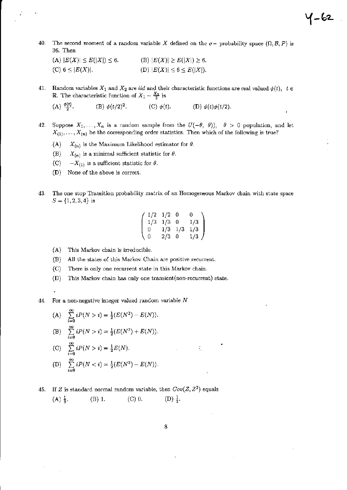The second moment of a random variable X defined on the  $\sigma$ - probability space  $(\Omega, \mathcal{B}, P)$  is 40. 36. Then

Y-62

 $\overline{1}$ 

(A)  $|E(X)| \le E(|X|) \le 6.$ (B)  $|E(X)| \ge E(|X|) \ge 6$ . (C)  $6 \leq |E(X)|$ . (D)  $|E(X)| \leq 6 \leq E(|X|)$ .

Random variables  $X_1$  and  $X_2$  are *iid* and their characteristic functions are real valued  $\phi(t)$ ,  $t \in$ 41. **R**. The characteristic function of  $X_1 - \frac{X_2}{2}$  is

 $(A) \frac{\phi(t)}{2}$ . (B)  $\phi(t/2)^2$ . (C)  $\phi(t)$ . (D)  $\phi(t)\phi(t/2)$ .

- Suppose  $X_1, \ldots, X_n$  is a random sample from the  $U(-\theta, \theta)$ ,  $\theta > 0$  population, and let 42.  $X_{(1)}, \ldots, X_{(n)}$  be the corresponding order statistics. Then which of the following is true?
	- $(A)$  $X_{(n)}$  is the Maximum Likelihood estimator for  $\theta$ .
	- $(B)$  $X_{(n)}$  is a minimal sufficient statistic for  $\theta$ .
	- $(C)$  $-X_{(1)}$  is a sufficient statistic for  $\theta$ .
	- (D) None of the above is correct.
- The one stop Transition probability matrix of an Homogeneous Markov chain with state space 43.  $S = \{1, 2, 3, 4\}$  is

$$
\left(\begin{array}{cccc} 1/2 & 1/2 & 0 & 0 \\ 1/3 & 1/3 & 0 & 1/3 \\ 0 & 1/3 & 1/3 & 1/3 \\ 0 & 2/3 & 0 & 1/3 \end{array}\right)
$$

- $(A)$ This Markov chain is irreducible.
- All the states of this Markov Chain are positive recurrent.  $(B)$
- $(C)$ There is only one recurrent state in this Markov chain.
- This Markov chain has only one transient (non-recurrent) state.  $(D)$
- ÷,

 $\overline{a}$ 

For a non-negative integer valued random variable  $N$ 44.

(A) 
$$
\sum_{i=0}^{\infty} iP(N > i) = \frac{1}{2}(E(N^2) - E(N)).
$$

(B) 
$$
\sum_{i=0} iP(N > i) = \frac{1}{2}(E(N^2) + E(N)).
$$

(C) 
$$
\sum_{i=0}^{\infty} iP(N > i) = \frac{1}{2}E(N)
$$

(D) 
$$
\sum_{i=0}^{\infty} iP(N < i) = \frac{1}{2}(E(N^2) - E(N)).
$$

45. If Z is standard normal random variable, then  $Cov(Z, Z^2)$  equals  $(D) \frac{1}{2}$ .  $(A) \frac{1}{3}$ .  $(B)$  1.  $(C)$  0.

÷.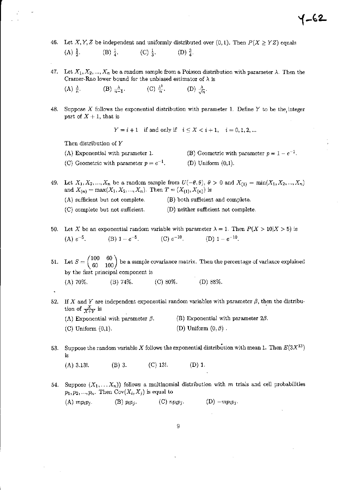- 46. Let X, Y, Z be independent and uniformly distributed over (0,1). Then  $P(X \ge YZ)$  equals  $(A) \frac{1}{2}$ .  $(B) \frac{1}{4}$ .  $(C) \frac{1}{3}$ .  $(D) \frac{3}{4}$ .
- 47. Let  $X_1, X_2, ..., X_n$  be a random sample from a Poisson distribution with parameter  $\lambda$ . Then the Cramer-Rao lower bound for the unbiased estimator of  $\lambda$  is (C)  $\frac{\lambda^2}{n}$ . (B)  $\frac{\lambda}{n-1}$ . (D)  $\frac{\lambda}{\sqrt{n}}$ .  $(A) \frac{\lambda}{n}$ .
- 48. Suppose  $X$  follows the exponential distribution with parameter 1. Define  $Y$  to be the integer part of  $X + 1$ , that is

 $Y = i + 1$  if and only if  $i \le X < i + 1$ ,  $i = 0, 1, 2, ...$ 

Then distribution of Y

(A) Exponential with parameter 1.

(C) Geometric with parameter  $p = e^{-1}$ .

(B) Geometric with parameter  $p = 1 - e^{-1}$ .  $(D)$  Uniform  $(0,1)$ .

{–62

- Let  $X_1, X_2, ..., X_n$  be a random sample from  $U(-\theta, \theta)$ ,  $\theta > 0$  and  $X_{(1)} = \min(X_1, X_2, ..., X_n)$ 49. and  $X_{(n)} = \max(X_1, X_2, ..., X_n)$ . Then  $T = (X_{(1)}, X_{(n)})$  is
	- (A) sufficient but not complete. (B) both sufficient and complete.
	- (C) complete but not sufficient. (D) neither sufficient not complete.
- 50. Let X be an exponential random variable with parameter  $\lambda = 1$ . Then  $P(X > 10|X > 5)$  is (B)  $1-e^{-5}$ . (C)  $e^{-10}$ . (D)  $1-e^{-10}$ . (A)  $e^{-5}$ .

51. Let  $S = \begin{pmatrix} 100 & 60 \\ 60 & 100 \end{pmatrix}$  be a sample covariance matrix. Then the percentage of variance explained by the first principal component is  $(D) 88%$  $(A)$  70%.  $(B) 74\%$ .  $(C)$  80%.

52. If X and Y are independent exponential random variables with parameter  $\beta$ , then the distribution of  $\frac{X}{X+Y}$  is

| (A) Exponential with parameter $\beta$ . | (B) Exponential with parameter $2\beta$ . |
|------------------------------------------|-------------------------------------------|
| $(C)$ Uniform $(0,1)$ .                  | (D) Uniform $(0, \beta)$ .                |

Suppose the random variable X follows the exponential distribution with mean 1. Then  $E(3X^{13})$ 53. is

 $(A)$  3.13!.  $(B)$  3.  $(C)$  13.  $(D)$  1.

54. Suppose  $(X_1, \ldots, X_n)$  follows a multinomial distribution with m trials and cell probabilities  $p_1, p_2, ..., p_n$ . Then  $Cov(X_i, X_j)$  is equal to

 $(A) mp_i p_j.$  $(B)$   $p_i p_j$ .  $(C)$  np<sub>i</sub> $p_i$ .  $(D)$  -mp<sub>i</sub> $p_i$ .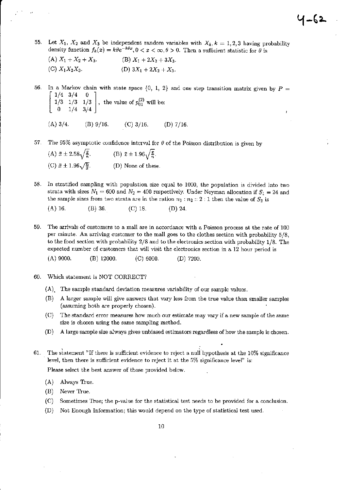55. Let  $X_1$ ,  $X_2$  and  $X_3$  be independent random variables with  $X_k$ ,  $k = 1, 2, 3$  having probability density function  $f_k(x) = k\theta e^{-k\theta x}$ ,  $0 < x < \infty$ ,  $\theta > 0$ . Then a sufficient statistic for  $\theta$  is

| (A) $X_1 + X_2 + X_3$ . | (B) $X_1 + 2X_2 + 3X_3$ . |
|-------------------------|---------------------------|
| (C) $X_1X_2X_3$ .       | (D) $3X_1 + 2X_2 + X_3$ . |

56. In a Markov chain with state space  $\{0, 1, 2\}$  and one step transition matrix given by  $P =$  $1/4$  3/4 1/3 1/3 1/3 , the value of  $p_{01}^{(2)}$  will be:<br>0 1/4 3/4 ,  $(A)$  3/4.  $(B)$  9/16.  $(C)$  3/16.  $(D)$  7/16.

57. The 95% asymptotic confidence interval for  $\theta$  of the Poisson distribution is given by

| (A) $\bar{x} \pm 2.58\sqrt{\frac{\bar{x}}{n}}$ . | (B) $\bar{x} \pm 1.96\sqrt{\frac{\bar{x}}{n}}$ . |
|--------------------------------------------------|--------------------------------------------------|
| (C) $\bar{x} \pm 1.96\sqrt{\frac{n}{x}}$ .       | (D) None of these                                |

58. In stratified sampling with population size equal to 1000, the population is divided into two strata with sizes  $N_1 = 600$  and  $N_2 = 400$  respectively. Under Neyman allocation if  $S_1 = 24$  and the sample sizes from two strata are in the ration  $n_1 : n_2 :: 2 : 1$  then the value of  $S_2$  is

 $(A)$  16.  $(B)$  36.  $(C)$  18.  $(D)$  24.

- 59. The arrivals of customers to a mall are in accordance with a Poisson process at the rate of 100 per minute. An arriving customer to the mall goes to the clothes section with probability 5/8, to the food section with probability  $2/8$  and to the electronics section with probability  $1/8$ . The expected number of customers that will visit the electronics section in a 12 hour period is
	- $(A)$  9000.  $(B)$  12000.  $(C)$  6000.  $(D)$  7200.
- Which statement is NOT CORRECT? 60.
	- (A) The sample standard deviation measures variability of our sample values.
	- A larger sample will give answers that vary less from the true value than smaller samples  $(B)$ (assuming both are properly chosen).
	- The standard error measures how much our estimate may vary if a new sample of the same  $(C)$ size is chosen using the same sampling method.
	- A large sample size always gives unbiased estimators regardless of how the sample is chosen.  $(D)$
- The statement "If there is sufficient evidence to reject a null hypothesis at the 10% significance 61. level, then there is sufficient evidence to reject it at the 5% significance level" is:

Please select the best answer of those provided below.

- (A) Always True.
- (B) Never True.
- Sometimes True; the p-value for the statistical test needs to be provided for a conclusion.  $(C)$
- $(D)$ Not Enough Information; this would depend on the type of statistical test used.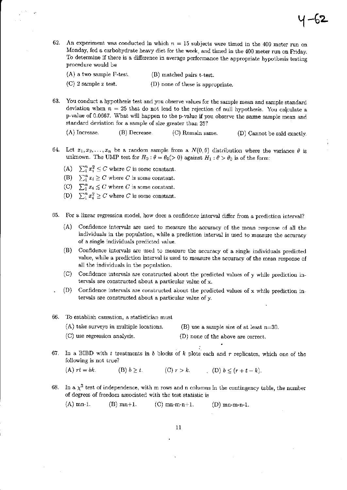62. An experiment was conducted in which  $n = 15$  subjects were timed in the 400 meter run on Monday, fed a carbohydrate heavy diet for the week, and timed in the 400 meter run on Friday. To determine if there is a difference in average performance the appropriate hypothesis testing procedure would be

| $(A)$ a two sample F-test. | (B) matched pairs t-test.         |
|----------------------------|-----------------------------------|
| $(C)$ 2 sample z test.     | (D) none of these is appropriate. |

63. You conduct a hypothesis test and you observe values for the sample mean and sample standard deviation when  $n = 25$  that do not lead to the rejection of null hypothesis. You calculate a p-value of 0.0667. What will happen to the p-value if you observe the same sample mean and standard deviation for a sample of size greater than 25?

 $(A)$  Increase.  $(B)$  Decrease. (C) Remain same. (D) Cannot be said exactly.

- 64. Let  $x_1, x_2, ..., x_n$  be a random sample from a  $N(0, \theta)$  distribution where the variance  $\theta$  is unknown. The UMP test for  $H_0: \theta = \theta_0(>0)$  against  $H_1: \theta > \theta_0$  is of the form:
	- (A)  $\sum_{i=1}^{n} x_i^2 \leq C$  where C is some constant.
	- (B)  $\sum_{1}^{n} x_i \ge C$  where C is some constant.
	- (C)  $\sum_{i=1}^{n} x_i \leq C$  where C is some constant.
	- (D)  $\sum_{i=1}^{n} x_i^2 \ge C$  where C is some constant.
- For a linear regression model, how does a confidence interval differ from a prediction interval? 65.
	- Confidence intervals are used to measure the accuracy of the mean response of all the  $(A)$ individuals in the population, while a prediction interval is used to measure the accuracy of a single individuals predicted value.
	- Confidence intervals are used to measure the accuracy of a single individuals predicted (B) value, while a prediction interval is used to measure the accuracy of the mean response of all the individuals in the population.
	- $(C)$ Confidence intervals are constructed about the predicted values of y while prediction intervals are constructed about a particular value of x.
	- (D). Confidence intervals are constructed about the predicted values of x while prediction intervals are constructed about a particular value of y.
- 66. To establish causation, a statistician must
	- (A) take surveys in multiple locations. (B) use a sample size of at least  $n=30$ .
	- (C) use regression analysis. (D) none of the above are correct.
- In a BIBD with  $t$  treatments in  $b$  blocks of  $k$  plots each and  $r$  replicates, which one of the 67. following is not true?

 $(A)$   $rt = bk$ . (B)  $b \geq t$ . (C)  $r > k$ . (D)  $b \le (r + t - k)$ .

68. In a  $\chi^2$  test of independence, with m rows and n columns in the contingency table, the number of degrees of freedom associated with the test statistic is

 $(A)$  mn-1.  $(B)$  mn+1.  $(C)$  mn-m-n+1.  $(D)$  mn-m-n-1.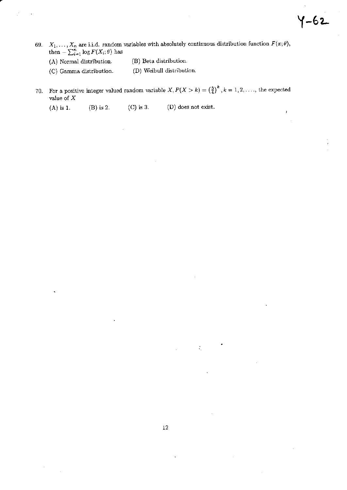J

- 69.  $X_1, \ldots, X_n$  are i.i.d. random variables with absolutely continuous distribution function  $F(x;\theta)$ , then  $-\sum_{i=1}^n \log F(X_i;\theta)$  has
	- (B) Beta distribution. (A) Normal distribution.
	- (D) Weibull distribution. (C) Gamma distribution.
- 70. For a positive integer valued random variable  $X, P(X > k) = \left(\frac{3}{4}\right)^k, k = 1, 2, \ldots$ , the expected value of  $\boldsymbol{X}$ 
	- $(C)$  is 3. (D) does not exist.  $(A)$  is 1. (B) is 2.

l,

 $\zeta$